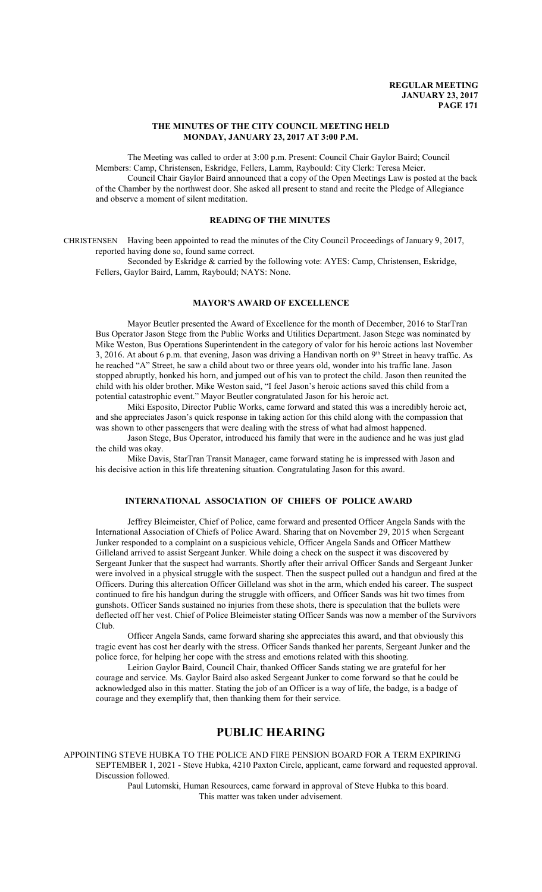# **THE MINUTES OF THE CITY COUNCIL MEETING HELD MONDAY, JANUARY 23, 2017 AT 3:00 P.M.**

The Meeting was called to order at 3:00 p.m. Present: Council Chair Gaylor Baird; Council Members: Camp, Christensen, Eskridge, Fellers, Lamm, Raybould: City Clerk: Teresa Meier. Council Chair Gaylor Baird announced that a copy of the Open Meetings Law is posted at the back of the Chamber by the northwest door. She asked all present to stand and recite the Pledge of Allegiance and observe a moment of silent meditation.

# **READING OF THE MINUTES**

CHRISTENSEN Having been appointed to read the minutes of the City Council Proceedings of January 9, 2017, reported having done so, found same correct.

Seconded by Eskridge & carried by the following vote: AYES: Camp, Christensen, Eskridge, Fellers, Gaylor Baird, Lamm, Raybould; NAYS: None.

# **MAYOR'S AWARD OF EXCELLENCE**

Mayor Beutler presented the Award of Excellence for the month of December, 2016 to StarTran Bus Operator Jason Stege from the Public Works and Utilities Department. Jason Stege was nominated by Mike Weston, Bus Operations Superintendent in the category of valor for his heroic actions last November 3, 2016. At about 6 p.m. that evening, Jason was driving a Handivan north on 9<sup>th</sup> Street in heavy traffic. As he reached "A" Street, he saw a child about two or three years old, wonder into his traffic lane. Jason stopped abruptly, honked his horn, and jumped out of his van to protect the child. Jason then reunited the child with his older brother. Mike Weston said, "I feel Jason's heroic actions saved this child from a potential catastrophic event." Mayor Beutler congratulated Jason for his heroic act.

Miki Esposito, Director Public Works, came forward and stated this was a incredibly heroic act, and she appreciates Jason's quick response in taking action for this child along with the compassion that was shown to other passengers that were dealing with the stress of what had almost happened.

Jason Stege, Bus Operator, introduced his family that were in the audience and he was just glad the child was okay.

Mike Davis, StarTran Transit Manager, came forward stating he is impressed with Jason and his decisive action in this life threatening situation. Congratulating Jason for this award.

# **INTERNATIONAL ASSOCIATION OF CHIEFS OF POLICE AWARD**

Jeffrey Bleimeister, Chief of Police, came forward and presented Officer Angela Sands with the International Association of Chiefs of Police Award. Sharing that on November 29, 2015 when Sergeant Junker responded to a complaint on a suspicious vehicle, Officer Angela Sands and Officer Matthew Gilleland arrived to assist Sergeant Junker. While doing a check on the suspect it was discovered by Sergeant Junker that the suspect had warrants. Shortly after their arrival Officer Sands and Sergeant Junker were involved in a physical struggle with the suspect. Then the suspect pulled out a handgun and fired at the Officers. During this altercation Officer Gilleland was shot in the arm, which ended his career. The suspect continued to fire his handgun during the struggle with officers, and Officer Sands was hit two times from gunshots. Officer Sands sustained no injuries from these shots, there is speculation that the bullets were deflected off her vest. Chief of Police Bleimeister stating Officer Sands was now a member of the Survivors Club.

Officer Angela Sands, came forward sharing she appreciates this award, and that obviously this tragic event has cost her dearly with the stress. Officer Sands thanked her parents, Sergeant Junker and the police force, for helping her cope with the stress and emotions related with this shooting.

Leirion Gaylor Baird, Council Chair, thanked Officer Sands stating we are grateful for her courage and service. Ms. Gaylor Baird also asked Sergeant Junker to come forward so that he could be acknowledged also in this matter. Stating the job of an Officer is a way of life, the badge, is a badge of courage and they exemplify that, then thanking them for their service.

# **PUBLIC HEARING**

APPOINTING STEVE HUBKA TO THE POLICE AND FIRE PENSION BOARD FOR A TERM EXPIRING SEPTEMBER 1, 2021 - Steve Hubka, 4210 Paxton Circle, applicant, came forward and requested approval. Discussion followed.

> Paul Lutomski, Human Resources, came forward in approval of Steve Hubka to this board. This matter was taken under advisement.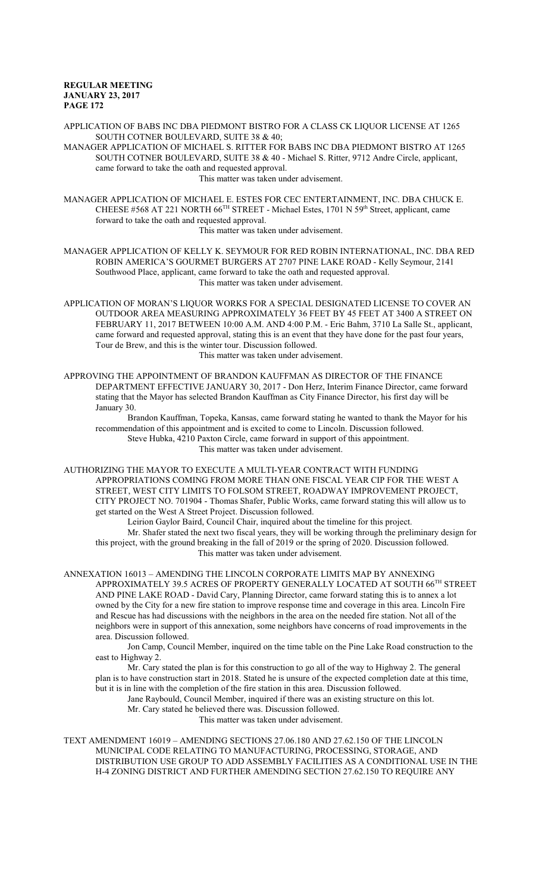APPLICATION OF BABS INC DBA PIEDMONT BISTRO FOR A CLASS CK LIQUOR LICENSE AT 1265 SOUTH COTNER BOULEVARD, SUITE 38 & 40;

MANAGER APPLICATION OF MICHAEL S. RITTER FOR BABS INC DBA PIEDMONT BISTRO AT 1265 SOUTH COTNER BOULEVARD, SUITE 38 & 40 - Michael S. Ritter, 9712 Andre Circle, applicant, came forward to take the oath and requested approval.

This matter was taken under advisement.

MANAGER APPLICATION OF MICHAEL E. ESTES FOR CEC ENTERTAINMENT, INC. DBA CHUCK E. CHEESE #568 AT 221 NORTH 66<sup>TH</sup> STREET - Michael Estes, 1701 N 59<sup>th</sup> Street, applicant, came forward to take the oath and requested approval.

This matter was taken under advisement.

MANAGER APPLICATION OF KELLY K. SEYMOUR FOR RED ROBIN INTERNATIONAL, INC. DBA RED ROBIN AMERICA'S GOURMET BURGERS AT 2707 PINE LAKE ROAD - Kelly Seymour, 2141 Southwood Place, applicant, came forward to take the oath and requested approval. This matter was taken under advisement.

APPLICATION OF MORAN'S LIQUOR WORKS FOR A SPECIAL DESIGNATED LICENSE TO COVER AN OUTDOOR AREA MEASURING APPROXIMATELY 36 FEET BY 45 FEET AT 3400 A STREET ON FEBRUARY 11, 2017 BETWEEN 10:00 A.M. AND 4:00 P.M. - Eric Bahm, 3710 La Salle St., applicant, came forward and requested approval, stating this is an event that they have done for the past four years, Tour de Brew, and this is the winter tour. Discussion followed. This matter was taken under advisement.

APPROVING THE APPOINTMENT OF BRANDON KAUFFMAN AS DIRECTOR OF THE FINANCE DEPARTMENT EFFECTIVE JANUARY 30, 2017 - Don Herz, Interim Finance Director, came forward stating that the Mayor has selected Brandon Kauffman as City Finance Director, his first day will be January 30.

Brandon Kauffman, Topeka, Kansas, came forward stating he wanted to thank the Mayor for his recommendation of this appointment and is excited to come to Lincoln. Discussion followed. Steve Hubka, 4210 Paxton Circle, came forward in support of this appointment. This matter was taken under advisement.

AUTHORIZING THE MAYOR TO EXECUTE A MULTI-YEAR CONTRACT WITH FUNDING APPROPRIATIONS COMING FROM MORE THAN ONE FISCAL YEAR CIP FOR THE WEST A STREET, WEST CITY LIMITS TO FOLSOM STREET, ROADWAY IMPROVEMENT PROJECT, CITY PROJECT NO. 701904 - Thomas Shafer, Public Works, came forward stating this will allow us to get started on the West A Street Project. Discussion followed.

Leirion Gaylor Baird, Council Chair, inquired about the timeline for this project. Mr. Shafer stated the next two fiscal years, they will be working through the preliminary design for this project, with the ground breaking in the fall of 2019 or the spring of 2020. Discussion followed. This matter was taken under advisement.

ANNEXATION 16013 – AMENDING THE LINCOLN CORPORATE LIMITS MAP BY ANNEXING APPROXIMATELY 39.5 ACRES OF PROPERTY GENERALLY LOCATED AT SOUTH  $66^{\text{\tiny{TH}}}$  STREET AND PINE LAKE ROAD - David Cary, Planning Director, came forward stating this is to annex a lot owned by the City for a new fire station to improve response time and coverage in this area. Lincoln Fire and Rescue has had discussions with the neighbors in the area on the needed fire station. Not all of the neighbors were in support of this annexation, some neighbors have concerns of road improvements in the area. Discussion followed.

Jon Camp, Council Member, inquired on the time table on the Pine Lake Road construction to the east to Highway 2.

Mr. Cary stated the plan is for this construction to go all of the way to Highway 2. The general plan is to have construction start in 2018. Stated he is unsure of the expected completion date at this time, but it is in line with the completion of the fire station in this area. Discussion followed.

Jane Raybould, Council Member, inquired if there was an existing structure on this lot.

Mr. Cary stated he believed there was. Discussion followed.

This matter was taken under advisement.

TEXT AMENDMENT 16019 – AMENDING SECTIONS 27.06.180 AND 27.62.150 OF THE LINCOLN MUNICIPAL CODE RELATING TO MANUFACTURING, PROCESSING, STORAGE, AND DISTRIBUTION USE GROUP TO ADD ASSEMBLY FACILITIES AS A CONDITIONAL USE IN THE H-4 ZONING DISTRICT AND FURTHER AMENDING SECTION 27.62.150 TO REQUIRE ANY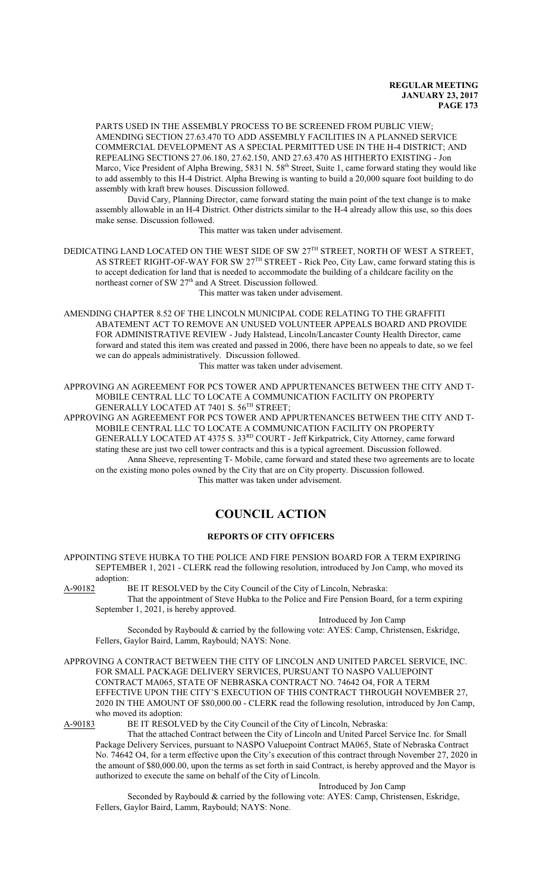PARTS USED IN THE ASSEMBLY PROCESS TO BE SCREENED FROM PUBLIC VIEW; AMENDING SECTION 27.63.470 TO ADD ASSEMBLY FACILITIES IN A PLANNED SERVICE COMMERCIAL DEVELOPMENT AS A SPECIAL PERMITTED USE IN THE H-4 DISTRICT; AND REPEALING SECTIONS 27.06.180, 27.62.150, AND 27.63.470 AS HITHERTO EXISTING - Jon Marco, Vice President of Alpha Brewing, 5831 N. 58<sup>th</sup> Street, Suite 1, came forward stating they would like to add assembly to this H-4 District. Alpha Brewing is wanting to build a 20,000 square foot building to do assembly with kraft brew houses. Discussion followed.

David Cary, Planning Director, came forward stating the main point of the text change is to make assembly allowable in an H-4 District. Other districts similar to the H-4 already allow this use, so this does make sense. Discussion followed.

This matter was taken under advisement.

DEDICATING LAND LOCATED ON THE WEST SIDE OF SW  $27^{\text{TH}}$  STREET, NORTH OF WEST A STREET, AS STREET RIGHT-OF-WAY FOR SW  $27^{\text{TH}}$  STREET - Rick Peo, City Law, came forward stating this is to accept dedication for land that is needed to accommodate the building of a childcare facility on the northeast corner of SW 27<sup>th</sup> and A Street. Discussion followed.

This matter was taken under advisement.

AMENDING CHAPTER 8.52 OF THE LINCOLN MUNICIPAL CODE RELATING TO THE GRAFFITI ABATEMENT ACT TO REMOVE AN UNUSED VOLUNTEER APPEALS BOARD AND PROVIDE FOR ADMINISTRATIVE REVIEW - Judy Halstead, Lincoln/Lancaster County Health Director, came forward and stated this item was created and passed in 2006, there have been no appeals to date, so we feel we can do appeals administratively. Discussion followed.

This matter was taken under advisement.

APPROVING AN AGREEMENT FOR PCS TOWER AND APPURTENANCES BETWEEN THE CITY AND T-MOBILE CENTRAL LLC TO LOCATE A COMMUNICATION FACILITY ON PROPERTY GENERALLY LOCATED AT 7401 S. 56 TH STREET;

APPROVING AN AGREEMENT FOR PCS TOWER AND APPURTENANCES BETWEEN THE CITY AND T-MOBILE CENTRAL LLC TO LOCATE A COMMUNICATION FACILITY ON PROPERTY GENERALLY LOCATED AT 4375 S. 33<sup>RD</sup> COURT - Jeff Kirkpatrick, City Attorney, came forward stating these are just two cell tower contracts and this is a typical agreement. Discussion followed. Anna Sheeve, representing T- Mobile, came forward and stated these two agreements are to locate on the existing mono poles owned by the City that are on City property. Discussion followed. This matter was taken under advisement.

# **COUNCIL ACTION**

# **REPORTS OF CITY OFFICERS**

APPOINTING STEVE HUBKA TO THE POLICE AND FIRE PENSION BOARD FOR A TERM EXPIRING SEPTEMBER 1, 2021 - CLERK read the following resolution, introduced by Jon Camp, who moved its adoption:

A-90182 BE IT RESOLVED by the City Council of the City of Lincoln, Nebraska:

That the appointment of Steve Hubka to the Police and Fire Pension Board, for a term expiring September 1, 2021, is hereby approved.

Introduced by Jon Camp

Seconded by Raybould & carried by the following vote: AYES: Camp, Christensen, Eskridge, Fellers, Gaylor Baird, Lamm, Raybould; NAYS: None.

APPROVING A CONTRACT BETWEEN THE CITY OF LINCOLN AND UNITED PARCEL SERVICE, INC. FOR SMALL PACKAGE DELIVERY SERVICES, PURSUANT TO NASPO VALUEPOINT CONTRACT MA065, STATE OF NEBRASKA CONTRACT NO. 74642 O4, FOR A TERM EFFECTIVE UPON THE CITY'S EXECUTION OF THIS CONTRACT THROUGH NOVEMBER 27, 2020 IN THE AMOUNT OF \$80,000.00 - CLERK read the following resolution, introduced by Jon Camp, who moved its adoption:

A-90183 BE IT RESOLVED by the City Council of the City of Lincoln, Nebraska:

That the attached Contract between the City of Lincoln and United Parcel Service Inc. for Small Package Delivery Services, pursuant to NASPO Valuepoint Contract MA065, State of Nebraska Contract No. 74642 O4, for a term effective upon the City's execution of this contract through November 27, 2020 in the amount of \$80,000.00, upon the terms as set forth in said Contract, is hereby approved and the Mayor is authorized to execute the same on behalf of the City of Lincoln.

Introduced by Jon Camp

Seconded by Raybould & carried by the following vote: AYES: Camp, Christensen, Eskridge, Fellers, Gaylor Baird, Lamm, Raybould; NAYS: None.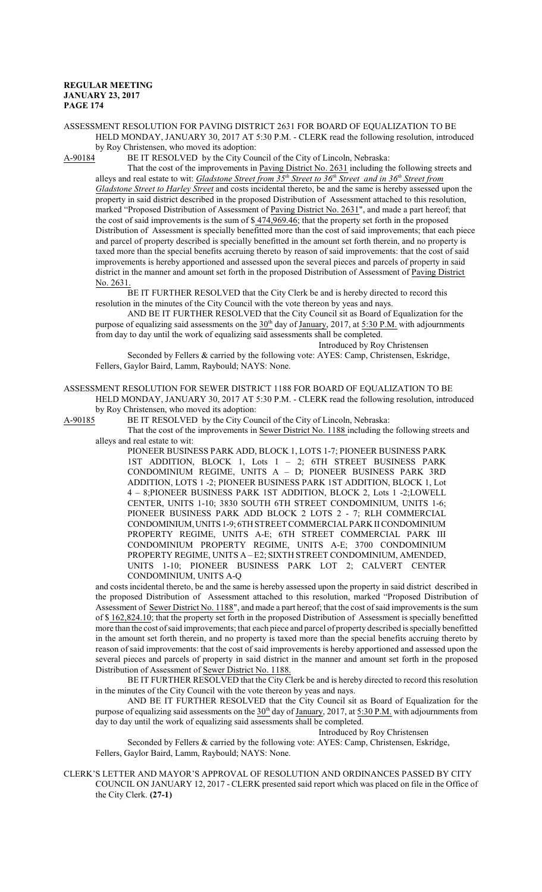ASSESSMENT RESOLUTION FOR PAVING DISTRICT 2631 FOR BOARD OF EQUALIZATION TO BE HELD MONDAY, JANUARY 30, 2017 AT 5:30 P.M. - CLERK read the following resolution, introduced by Roy Christensen, who moved its adoption:<br>A-90184 BE IT RESOLVED by the City Cou

BE IT RESOLVED by the City Council of the City of Lincoln, Nebraska:

That the cost of the improvements in Paving District No. 2631 including the following streets and alleys and real estate to wit: *Gladstone Street from 35 th Street to 36 th Street and in 36 th Street from Gladstone Street to Harley Street* and costs incidental thereto, be and the same is hereby assessed upon the property in said district described in the proposed Distribution of Assessment attached to this resolution, marked "Proposed Distribution of Assessment of Paving District No. 2631", and made a part hereof; that the cost of said improvements is the sum of \$ 474,969.46; that the property set forth in the proposed Distribution of Assessment is specially benefitted more than the cost of said improvements; that each piece and parcel of property described is specially benefitted in the amount set forth therein, and no property is taxed more than the special benefits accruing thereto by reason of said improvements: that the cost of said improvements is hereby apportioned and assessed upon the several pieces and parcels of property in said district in the manner and amount set forth in the proposed Distribution of Assessment of Paving District No. 2631.

BE IT FURTHER RESOLVED that the City Clerk be and is hereby directed to record this resolution in the minutes of the City Council with the vote thereon by yeas and nays.

AND BE IT FURTHER RESOLVED that the City Council sit as Board of Equalization for the purpose of equalizing said assessments on the  $30<sup>th</sup>$  day of January, 2017, at 5:30 P.M. with adjournments from day to day until the work of equalizing said assessments shall be completed.

Introduced by Roy Christensen

Seconded by Fellers & carried by the following vote: AYES: Camp, Christensen, Eskridge, Fellers, Gaylor Baird, Lamm, Raybould; NAYS: None.

ASSESSMENT RESOLUTION FOR SEWER DISTRICT 1188 FOR BOARD OF EQUALIZATION TO BE HELD MONDAY, JANUARY 30, 2017 AT 5:30 P.M. - CLERK read the following resolution, introduced

by Roy Christensen, who moved its adoption:

A-90185 BE IT RESOLVED by the City Council of the City of Lincoln, Nebraska:

That the cost of the improvements in Sewer District No. 1188 including the following streets and alleys and real estate to wit:

PIONEER BUSINESS PARK ADD, BLOCK 1, LOTS 1-7; PIONEER BUSINESS PARK 1ST ADDITION, BLOCK 1, Lots 1 – 2; 6TH STREET BUSINESS PARK CONDOMINIUM REGIME, UNITS A – D; PIONEER BUSINESS PARK 3RD ADDITION, LOTS 1 -2; PIONEER BUSINESS PARK 1ST ADDITION, BLOCK 1, Lot 4 – 8;PIONEER BUSINESS PARK 1ST ADDITION, BLOCK 2, Lots 1 -2;LOWELL CENTER, UNITS 1-10; 3830 SOUTH 6TH STREET CONDOMINIUM, UNITS 1-6; PIONEER BUSINESS PARK ADD BLOCK 2 LOTS 2 - 7; RLH COMMERCIAL CONDOMINIUM, UNITS 1-9; 6TH STREET COMMERCIAL PARK II CONDOMINIUM PROPERTY REGIME, UNITS A-E; 6TH STREET COMMERCIAL PARK III CONDOMINIUM PROPERTY REGIME, UNITS A-E; 3700 CONDOMINIUM PROPERTY REGIME, UNITS A – E2; SIXTH STREET CONDOMINIUM, AMENDED, UNITS 1-10; PIONEER BUSINESS PARK LOT 2; CALVERT CENTER CONDOMINIUM, UNITS A-Q

and costs incidental thereto, be and the same is hereby assessed upon the property in said district described in the proposed Distribution of Assessment attached to this resolution, marked "Proposed Distribution of Assessment of Sewer District No. 1188", and made a part hereof; that the cost of said improvements is the sum of \$162,824.10; that the property set forth in the proposed Distribution of Assessment is specially benefitted more than the cost ofsaid improvements; that each piece and parcel of property described is specially benefitted in the amount set forth therein, and no property is taxed more than the special benefits accruing thereto by reason of said improvements: that the cost of said improvements is hereby apportioned and assessed upon the several pieces and parcels of property in said district in the manner and amount set forth in the proposed Distribution of Assessment of Sewer District No. 1188.

BE IT FURTHER RESOLVED that the City Clerk be and is hereby directed to record this resolution in the minutes of the City Council with the vote thereon by yeas and nays.

AND BE IT FURTHER RESOLVED that the City Council sit as Board of Equalization for the purpose of equalizing said assessments on the  $30<sup>th</sup>$  day of January, 2017, at 5:30 P.M. with adjournments from day to day until the work of equalizing said assessments shall be completed.

Introduced by Roy Christensen

Seconded by Fellers & carried by the following vote: AYES: Camp, Christensen, Eskridge, Fellers, Gaylor Baird, Lamm, Raybould; NAYS: None.

CLERK'S LETTER AND MAYOR'S APPROVAL OF RESOLUTION AND ORDINANCES PASSED BY CITY COUNCIL ON JANUARY 12, 2017 - CLERK presented said report which was placed on file in the Office of the City Clerk. **(27-1)**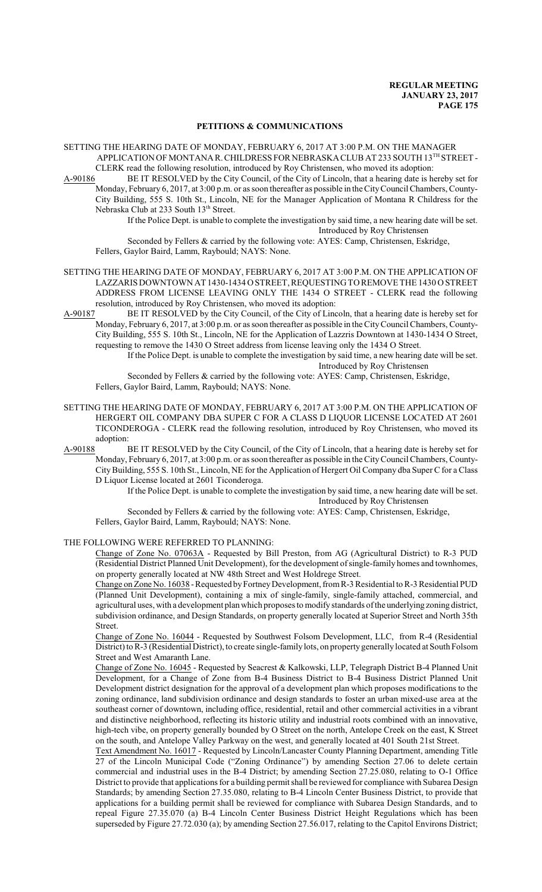#### **PETITIONS & COMMUNICATIONS**

SETTING THE HEARING DATE OF MONDAY, FEBRUARY 6, 2017 AT 3:00 P.M. ON THE MANAGER APPLICATION OF MONTANAR. CHILDRESS FOR NEBRASKACLUB AT 233 SOUTH 13TH STREET - CLERK read the following resolution, introduced by Roy Christensen, who moved its adoption:

A-90186 BE IT RESOLVED by the City Council, of the City of Lincoln, that a hearing date is hereby set for Monday, February 6, 2017, at 3:00 p.m. or as soon thereafter as possible in the CityCouncil Chambers, County-City Building, 555 S. 10th St., Lincoln, NE for the Manager Application of Montana R Childress for the Nebraska Club at 233 South 13<sup>th</sup> Street.

If the Police Dept. is unable to complete the investigation by said time, a new hearing date will be set. Introduced by Roy Christensen

Seconded by Fellers & carried by the following vote: AYES: Camp, Christensen, Eskridge, Fellers, Gaylor Baird, Lamm, Raybould; NAYS: None.

- SETTING THE HEARING DATE OF MONDAY, FEBRUARY 6, 2017 AT 3:00 P.M. ON THE APPLICATION OF LAZZARIS DOWNTOWN AT 1430-1434 O STREET, REQUESTING TO REMOVE THE 1430 O STREET ADDRESS FROM LICENSE LEAVING ONLY THE 1434 O STREET - CLERK read the following
- resolution, introduced by Roy Christensen, who moved its adoption:<br>A-90187 BE IT RESOLVED by the City Council, of the City of Linc BE IT RESOLVED by the City Council, of the City of Lincoln, that a hearing date is hereby set for Monday, February 6, 2017, at 3:00 p.m. or as soon thereafter as possible in the CityCouncil Chambers, County-City Building, 555 S. 10th St., Lincoln, NE for the Application of Lazzris Downtown at 1430-1434 O Street, requesting to remove the 1430 O Street address from license leaving only the 1434 O Street.

If the Police Dept. is unable to complete the investigation by said time, a new hearing date will be set. Introduced by Roy Christensen

Seconded by Fellers & carried by the following vote: AYES: Camp, Christensen, Eskridge, Fellers, Gaylor Baird, Lamm, Raybould; NAYS: None.

- SETTING THE HEARING DATE OF MONDAY, FEBRUARY 6, 2017 AT 3:00 P.M. ON THE APPLICATION OF HERGERT OIL COMPANY DBA SUPER C FOR A CLASS D LIQUOR LICENSE LOCATED AT 2601 TICONDEROGA - CLERK read the following resolution, introduced by Roy Christensen, who moved its adoption:<br>A-90188 H
- BE IT RESOLVED by the City Council, of the City of Lincoln, that a hearing date is hereby set for Monday, February 6, 2017, at 3:00 p.m. or as soon thereafter as possible in the CityCouncil Chambers, County-CityBuilding, 555 S. 10th St., Lincoln, NE for the Application of Hergert Oil Company dba Super C for a Class D Liquor License located at 2601 Ticonderoga.

If the Police Dept. is unable to complete the investigation by said time, a new hearing date will be set. Introduced by Roy Christensen

Seconded by Fellers & carried by the following vote: AYES: Camp, Christensen, Eskridge,

Fellers, Gaylor Baird, Lamm, Raybould; NAYS: None.

THE FOLLOWING WERE REFERRED TO PLANNING:

Change of Zone No. 07063A - Requested by Bill Preston, from AG (Agricultural District) to R-3 PUD (Residential District Planned Unit Development), for the development ofsingle-family homes and townhomes, on property generally located at NW 48th Street and West Holdrege Street.

Change on Zone No. 16038 - Requested by Fortney Development, from R-3 Residential to R-3 Residential PUD (Planned Unit Development), containing a mix of single-family, single-family attached, commercial, and agricultural uses, with a development planwhich proposes to modify standards ofthe underlying zoning district, subdivision ordinance, and Design Standards, on property generally located at Superior Street and North 35th Street.

Change of Zone No. 16044 - Requested by Southwest Folsom Development, LLC, from R-4 (Residential District) to R-3 (Residential District), to create single-family lots, on property generally located at South Folsom Street and West Amaranth Lane.

Change of Zone No. 16045 - Requested by Seacrest & Kalkowski, LLP, Telegraph District B-4 Planned Unit Development, for a Change of Zone from B-4 Business District to B-4 Business District Planned Unit Development district designation for the approval of a development plan which proposes modifications to the zoning ordinance, land subdivision ordinance and design standards to foster an urban mixed-use area at the southeast corner of downtown, including office, residential, retail and other commercial activities in a vibrant and distinctive neighborhood, reflecting its historic utility and industrial roots combined with an innovative, high-tech vibe, on property generally bounded by O Street on the north, Antelope Creek on the east, K Street on the south, and Antelope Valley Parkway on the west, and generally located at 401 South 21st Street.

Text Amendment No. 16017 - Requested by Lincoln/Lancaster County Planning Department, amending Title 27 of the Lincoln Municipal Code ("Zoning Ordinance") by amending Section 27.06 to delete certain commercial and industrial uses in the B-4 District; by amending Section 27.25.080, relating to O-1 Office District to provide that applications for a building permit shall be reviewed for compliance with Subarea Design Standards; by amending Section 27.35.080, relating to B-4 Lincoln Center Business District, to provide that applications for a building permit shall be reviewed for compliance with Subarea Design Standards, and to repeal Figure 27.35.070 (a) B-4 Lincoln Center Business District Height Regulations which has been superseded by Figure 27.72.030 (a); by amending Section 27.56.017, relating to the Capitol Environs District;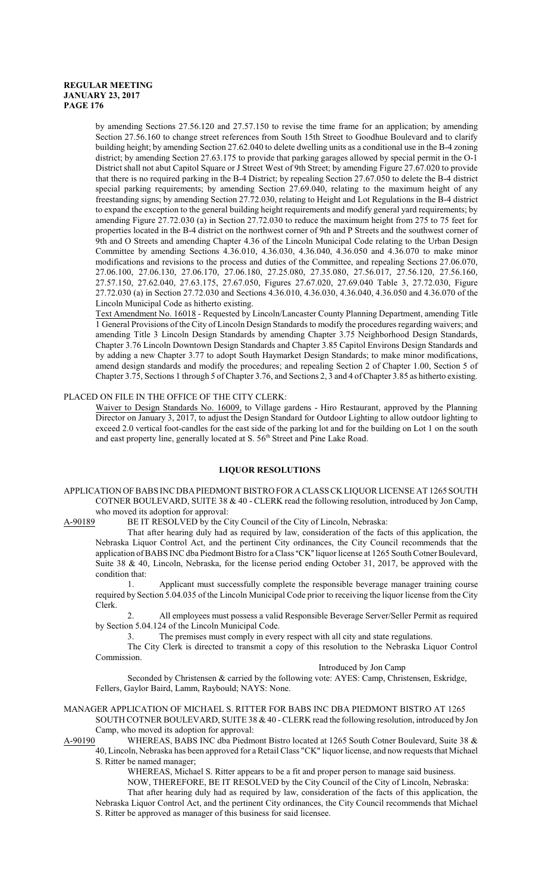by amending Sections 27.56.120 and 27.57.150 to revise the time frame for an application; by amending Section 27.56.160 to change street references from South 15th Street to Goodhue Boulevard and to clarify building height; by amending Section 27.62.040 to delete dwelling units as a conditional use in the B-4 zoning district; by amending Section 27.63.175 to provide that parking garages allowed by special permit in the O-1 District shall not abut Capitol Square or J Street West of 9th Street; by amending Figure 27.67.020 to provide that there is no required parking in the B-4 District; by repealing Section 27.67.050 to delete the B-4 district special parking requirements; by amending Section 27.69.040, relating to the maximum height of any freestanding signs; by amending Section 27.72.030, relating to Height and Lot Regulations in the B-4 district to expand the exception to the general building height requirements and modify general yard requirements; by amending Figure 27.72.030 (a) in Section 27.72.030 to reduce the maximum height from 275 to 75 feet for properties located in the B-4 district on the northwest corner of 9th and P Streets and the southwest corner of 9th and O Streets and amending Chapter 4.36 of the Lincoln Municipal Code relating to the Urban Design Committee by amending Sections 4.36.010, 4.36.030, 4.36.040, 4.36.050 and 4.36.070 to make minor modifications and revisions to the process and duties of the Committee, and repealing Sections 27.06.070, 27.06.100, 27.06.130, 27.06.170, 27.06.180, 27.25.080, 27.35.080, 27.56.017, 27.56.120, 27.56.160, 27.57.150, 27.62.040, 27.63.175, 27.67.050, Figures 27.67.020, 27.69.040 Table 3, 27.72.030, Figure 27.72.030 (a) in Section 27.72.030 and Sections 4.36.010, 4.36.030, 4.36.040, 4.36.050 and 4.36.070 of the Lincoln Municipal Code as hitherto existing.

Text Amendment No. 16018 - Requested by Lincoln/Lancaster County Planning Department, amending Title 1 General Provisions of the City of Lincoln Design Standards to modify the procedures regarding waivers; and amending Title 3 Lincoln Design Standards by amending Chapter 3.75 Neighborhood Design Standards, Chapter 3.76 Lincoln Downtown Design Standards and Chapter 3.85 Capitol Environs Design Standards and by adding a new Chapter 3.77 to adopt South Haymarket Design Standards; to make minor modifications, amend design standards and modify the procedures; and repealing Section 2 of Chapter 1.00, Section 5 of Chapter 3.75, Sections 1 through 5 of Chapter 3.76, and Sections 2, 3 and 4 ofChapter 3.85 as hitherto existing.

# PLACED ON FILE IN THE OFFICE OF THE CITY CLERK:

Waiver to Design Standards No. 16009, to Village gardens - Hiro Restaurant, approved by the Planning Director on January 3, 2017, to adjust the Design Standard for Outdoor Lighting to allow outdoor lighting to exceed 2.0 vertical foot-candles for the east side of the parking lot and for the building on Lot 1 on the south and east property line, generally located at S. 56<sup>th</sup> Street and Pine Lake Road.

# **LIQUOR RESOLUTIONS**

APPLICATION OF BABS INC DBAPIEDMONT BISTRO FOR ACLASS CK LIQUOR LICENSE AT 1265 SOUTH COTNER BOULEVARD, SUITE 38 & 40 - CLERK read the following resolution, introduced by Jon Camp, who moved its adoption for approval:

A-90189 BE IT RESOLVED by the City Council of the City of Lincoln, Nebraska:

That after hearing duly had as required by law, consideration of the facts of this application, the Nebraska Liquor Control Act, and the pertinent City ordinances, the City Council recommends that the application of BABS INC dba Piedmont Bistro for a Class "CK" liquor license at 1265 South Cotner Boulevard, Suite 38 & 40, Lincoln, Nebraska, for the license period ending October 31, 2017, be approved with the condition that:

1. Applicant must successfully complete the responsible beverage manager training course required by Section 5.04.035 of the Lincoln Municipal Code prior to receiving the liquor license from the City Clerk.

2. All employees must possess a valid Responsible Beverage Server/Seller Permit as required by Section 5.04.124 of the Lincoln Municipal Code.

3. The premises must comply in every respect with all city and state regulations.

The City Clerk is directed to transmit a copy of this resolution to the Nebraska Liquor Control Commission.

#### Introduced by Jon Camp

Seconded by Christensen & carried by the following vote: AYES: Camp, Christensen, Eskridge, Fellers, Gaylor Baird, Lamm, Raybould; NAYS: None.

# MANAGER APPLICATION OF MICHAEL S. RITTER FOR BABS INC DBA PIEDMONT BISTRO AT 1265 SOUTH COTNER BOULEVARD, SUITE 38 & 40 - CLERK read the following resolution, introduced by Jon Camp, who moved its adoption for approval:<br>A-90190 WHEREAS, BABS INC dba Piedm

WHEREAS, BABS INC dba Piedmont Bistro located at 1265 South Cotner Boulevard, Suite 38 & 40, Lincoln, Nebraska has been approved for a Retail Class "CK" liquor license, and now requests that Michael

S. Ritter be named manager;

WHEREAS, Michael S. Ritter appears to be a fit and proper person to manage said business.

NOW, THEREFORE, BE IT RESOLVED by the City Council of the City of Lincoln, Nebraska:

That after hearing duly had as required by law, consideration of the facts of this application, the Nebraska Liquor Control Act, and the pertinent City ordinances, the City Council recommends that Michael S. Ritter be approved as manager of this business for said licensee.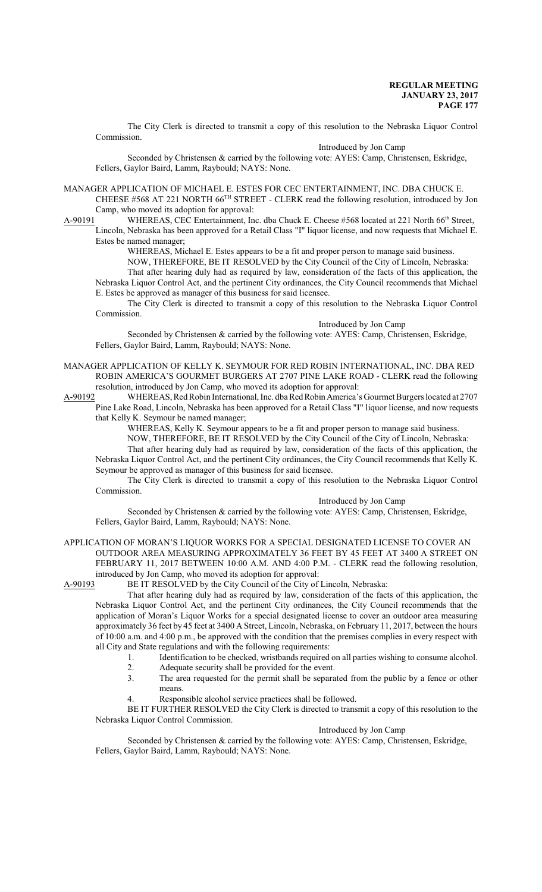The City Clerk is directed to transmit a copy of this resolution to the Nebraska Liquor Control Commission.

#### Introduced by Jon Camp

Seconded by Christensen & carried by the following vote: AYES: Camp, Christensen, Eskridge, Fellers, Gaylor Baird, Lamm, Raybould; NAYS: None.

MANAGER APPLICATION OF MICHAEL E. ESTES FOR CEC ENTERTAINMENT, INC. DBA CHUCK E. CHEESE #568 AT 221 NORTH 66<sup>TH</sup> STREET - CLERK read the following resolution, introduced by Jon Camp, who moved its adoption for approval:

A-90191 WHEREAS, CEC Entertainment, Inc. dba Chuck E. Cheese #568 located at 221 North 66<sup>th</sup> Street, Lincoln, Nebraska has been approved for a Retail Class "I" liquor license, and now requests that Michael E. Estes be named manager;

WHEREAS, Michael E. Estes appears to be a fit and proper person to manage said business.

NOW, THEREFORE, BE IT RESOLVED by the City Council of the City of Lincoln, Nebraska:

That after hearing duly had as required by law, consideration of the facts of this application, the Nebraska Liquor Control Act, and the pertinent City ordinances, the City Council recommends that Michael E. Estes be approved as manager of this business for said licensee.

The City Clerk is directed to transmit a copy of this resolution to the Nebraska Liquor Control Commission.

Introduced by Jon Camp

Seconded by Christensen & carried by the following vote: AYES: Camp, Christensen, Eskridge, Fellers, Gaylor Baird, Lamm, Raybould; NAYS: None.

- MANAGER APPLICATION OF KELLY K. SEYMOUR FOR RED ROBIN INTERNATIONAL, INC. DBA RED ROBIN AMERICA'S GOURMET BURGERS AT 2707 PINE LAKE ROAD - CLERK read the following resolution, introduced by Jon Camp, who moved its adoption for approval:
- A-90192 WHEREAS, RedRobin International, Inc. dba RedRobinAmerica's Gourmet Burgers located at 2707 Pine Lake Road, Lincoln, Nebraska has been approved for a Retail Class "I" liquor license, and now requests that Kelly K. Seymour be named manager;

WHEREAS, Kelly K. Seymour appears to be a fit and proper person to manage said business.

NOW, THEREFORE, BE IT RESOLVED by the City Council of the City of Lincoln, Nebraska:

That after hearing duly had as required by law, consideration of the facts of this application, the Nebraska Liquor Control Act, and the pertinent City ordinances, the City Council recommends that Kelly K. Seymour be approved as manager of this business for said licensee.

The City Clerk is directed to transmit a copy of this resolution to the Nebraska Liquor Control Commission.

Introduced by Jon Camp

Seconded by Christensen & carried by the following vote: AYES: Camp, Christensen, Eskridge, Fellers, Gaylor Baird, Lamm, Raybould; NAYS: None.

# APPLICATION OF MORAN'S LIQUOR WORKS FOR A SPECIAL DESIGNATED LICENSE TO COVER AN

OUTDOOR AREA MEASURING APPROXIMATELY 36 FEET BY 45 FEET AT 3400 A STREET ON FEBRUARY 11, 2017 BETWEEN 10:00 A.M. AND 4:00 P.M. - CLERK read the following resolution, introduced by Jon Camp, who moved its adoption for approval:<br>A-90193 BE IT RESOLVED by the City Council of the City of

# BE IT RESOLVED by the City Council of the City of Lincoln, Nebraska:

That after hearing duly had as required by law, consideration of the facts of this application, the Nebraska Liquor Control Act, and the pertinent City ordinances, the City Council recommends that the application of Moran's Liquor Works for a special designated license to cover an outdoor area measuring approximately 36 feet by 45 feet at 3400 A Street, Lincoln, Nebraska, on February 11, 2017, between the hours of 10:00 a.m. and 4:00 p.m., be approved with the condition that the premises complies in every respect with all City and State regulations and with the following requirements:

- 1. Identification to be checked, wristbands required on all parties wishing to consume alcohol.
- 2. Adequate security shall be provided for the event.<br>3. The area requested for the permit shall be separa The area requested for the permit shall be separated from the public by a fence or other
- means.
- 4. Responsible alcohol service practices shall be followed.

BE IT FURTHER RESOLVED the City Clerk is directed to transmit a copy of this resolution to the Nebraska Liquor Control Commission.

# Introduced by Jon Camp

Seconded by Christensen & carried by the following vote: AYES: Camp, Christensen, Eskridge, Fellers, Gaylor Baird, Lamm, Raybould; NAYS: None.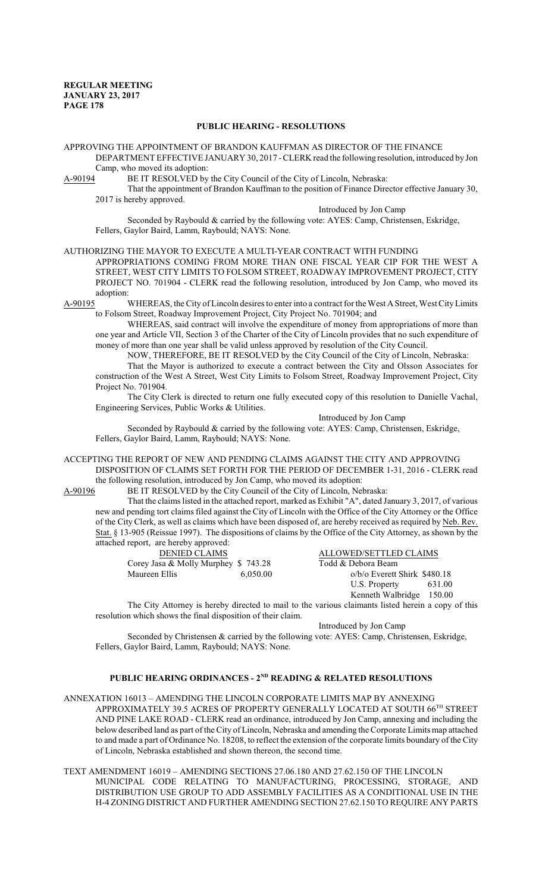# **PUBLIC HEARING - RESOLUTIONS**

APPROVING THE APPOINTMENT OF BRANDON KAUFFMAN AS DIRECTOR OF THE FINANCE DEPARTMENT EFFECTIVE JANUARY 30, 2017 -CLERK read the following resolution, introduced by Jon Camp, who moved its adoption:

A-90194 BE IT RESOLVED by the City Council of the City of Lincoln, Nebraska:

That the appointment of Brandon Kauffman to the position of Finance Director effective January 30, 2017 is hereby approved.

Introduced by Jon Camp

Seconded by Raybould & carried by the following vote: AYES: Camp, Christensen, Eskridge, Fellers, Gaylor Baird, Lamm, Raybould; NAYS: None.

# AUTHORIZING THE MAYOR TO EXECUTE A MULTI-YEAR CONTRACT WITH FUNDING

APPROPRIATIONS COMING FROM MORE THAN ONE FISCAL YEAR CIP FOR THE WEST A STREET, WEST CITY LIMITS TO FOLSOM STREET, ROADWAY IMPROVEMENT PROJECT, CITY PROJECT NO. 701904 - CLERK read the following resolution, introduced by Jon Camp, who moved its adoption:

A-90195 WHEREAS, the City of Lincoln desires to enter into a contract for the West A Street, West CityLimits to Folsom Street, Roadway Improvement Project, City Project No. 701904; and

WHEREAS, said contract will involve the expenditure of money from appropriations of more than one year and Article VII, Section 3 of the Charter of the City of Lincoln provides that no such expenditure of money of more than one year shall be valid unless approved by resolution of the City Council.

NOW, THEREFORE, BE IT RESOLVED by the City Council of the City of Lincoln, Nebraska:

That the Mayor is authorized to execute a contract between the City and Olsson Associates for construction of the West A Street, West City Limits to Folsom Street, Roadway Improvement Project, City Project No. 701904.

The City Clerk is directed to return one fully executed copy of this resolution to Danielle Vachal, Engineering Services, Public Works & Utilities.

Introduced by Jon Camp

Seconded by Raybould & carried by the following vote: AYES: Camp, Christensen, Eskridge, Fellers, Gaylor Baird, Lamm, Raybould; NAYS: None.

ACCEPTING THE REPORT OF NEW AND PENDING CLAIMS AGAINST THE CITY AND APPROVING DISPOSITION OF CLAIMS SET FORTH FOR THE PERIOD OF DECEMBER 1-31, 2016 - CLERK read the following resolution, introduced by Jon Camp, who moved its adoption:<br>A-90196 BE IT RESOLVED by the City Council of the City of Lincoln, Net

BE IT RESOLVED by the City Council of the City of Lincoln, Nebraska:

That the claims listed in the attached report, marked as Exhibit "A", dated January 3, 2017, of various new and pending tort claims filed against the City of Lincoln with the Office of the City Attorney or the Office of the City Clerk, as well as claims which have been disposed of, are hereby received as required by Neb. Rev. Stat. § 13-905 (Reissue 1997). The dispositions of claims by the Office of the City Attorney, as shown by the attached report, are hereby approved:

| <b>DENIED CLAIMS</b>                 |          | ALLOWED/SETTLED CLAIMS       |        |
|--------------------------------------|----------|------------------------------|--------|
| Corey Jasa & Molly Murphey $$743.28$ |          | Todd & Debora Beam           |        |
| Maureen Ellis                        | 6.050.00 | $o/b$ Everett Shirk \$480.18 |        |
|                                      |          | U.S. Property                | 631.00 |

Kenneth Walbridge 150.00 The City Attorney is hereby directed to mail to the various claimants listed herein a copy of this resolution which shows the final disposition of their claim.

Introduced by Jon Camp

Seconded by Christensen & carried by the following vote: AYES: Camp, Christensen, Eskridge, Fellers, Gaylor Baird, Lamm, Raybould; NAYS: None.

# **PUBLIC HEARING ORDINANCES - 2ND READING & RELATED RESOLUTIONS**

- ANNEXATION 16013 AMENDING THE LINCOLN CORPORATE LIMITS MAP BY ANNEXING APPROXIMATELY 39.5 ACRES OF PROPERTY GENERALLY LOCATED AT SOUTH  $66^{\text{\tiny{TH}}}$  STREET AND PINE LAKE ROAD - CLERK read an ordinance, introduced by Jon Camp, annexing and including the belowdescribed land as part of the City of Lincoln, Nebraska and amending the Corporate Limits map attached to and made a part of Ordinance No. 18208, to reflect the extension of the corporate limits boundary of the City of Lincoln, Nebraska established and shown thereon, the second time.
- TEXT AMENDMENT 16019 AMENDING SECTIONS 27.06.180 AND 27.62.150 OF THE LINCOLN MUNICIPAL CODE RELATING TO MANUFACTURING, PROCESSING, STORAGE, AND DISTRIBUTION USE GROUP TO ADD ASSEMBLY FACILITIES AS A CONDITIONAL USE IN THE H-4 ZONING DISTRICT AND FURTHER AMENDING SECTION 27.62.150 TO REQUIRE ANY PARTS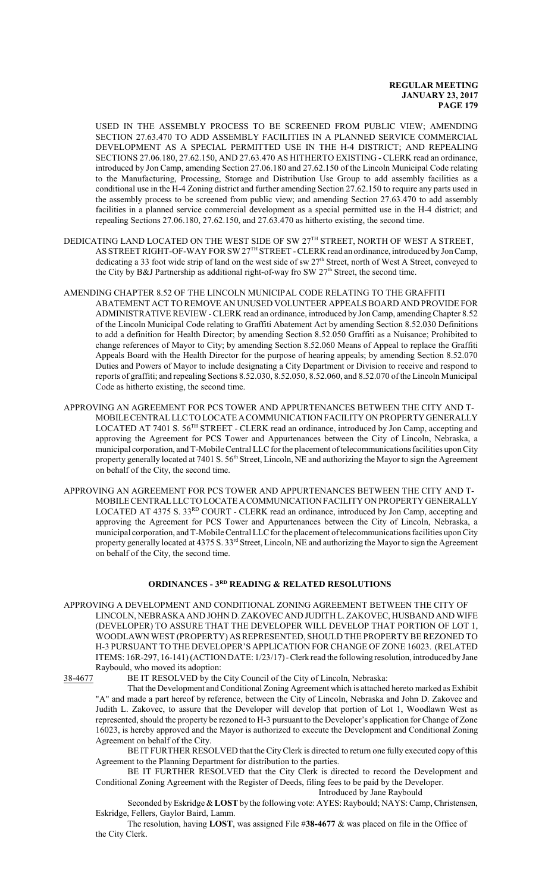USED IN THE ASSEMBLY PROCESS TO BE SCREENED FROM PUBLIC VIEW; AMENDING SECTION 27.63.470 TO ADD ASSEMBLY FACILITIES IN A PLANNED SERVICE COMMERCIAL DEVELOPMENT AS A SPECIAL PERMITTED USE IN THE H-4 DISTRICT; AND REPEALING SECTIONS 27.06.180, 27.62.150, AND 27.63.470 AS HITHERTO EXISTING - CLERK read an ordinance, introduced by Jon Camp, amending Section 27.06.180 and 27.62.150 of the Lincoln Municipal Code relating to the Manufacturing, Processing, Storage and Distribution Use Group to add assembly facilities as a conditional use in the H-4 Zoning district and further amending Section 27.62.150 to require any parts used in the assembly process to be screened from public view; and amending Section 27.63.470 to add assembly facilities in a planned service commercial development as a special permitted use in the H-4 district; and repealing Sections 27.06.180, 27.62.150, and 27.63.470 as hitherto existing, the second time.

- DEDICATING LAND LOCATED ON THE WEST SIDE OF SW  $27^{\rm{TH}}$  STREET, NORTH OF WEST A STREET, AS STREET RIGHT-OF-WAY FOR SW 27<sup>TH</sup> STREET - CLERK read an ordinance, introduced by Jon Camp, dedicating a 33 foot wide strip of land on the west side of sw 27<sup>th</sup> Street, north of West A Street, conveyed to the City by B&J Partnership as additional right-of-way fro SW 27<sup>th</sup> Street, the second time.
- AMENDING CHAPTER 8.52 OF THE LINCOLN MUNICIPAL CODE RELATING TO THE GRAFFITI ABATEMENT ACT TO REMOVE AN UNUSED VOLUNTEER APPEALS BOARD AND PROVIDE FOR ADMINISTRATIVE REVIEW -CLERK read an ordinance, introduced by JonCamp, amendingChapter 8.52 of the Lincoln Municipal Code relating to Graffiti Abatement Act by amending Section 8.52.030 Definitions to add a definition for Health Director; by amending Section 8.52.050 Graffiti as a Nuisance; Prohibited to change references of Mayor to City; by amending Section 8.52.060 Means of Appeal to replace the Graffiti Appeals Board with the Health Director for the purpose of hearing appeals; by amending Section 8.52.070 Duties and Powers of Mayor to include designating a City Department or Division to receive and respond to reports of graffiti; and repealing Sections 8.52.030, 8.52.050, 8.52.060, and 8.52.070 of the Lincoln Municipal Code as hitherto existing, the second time.
- APPROVING AN AGREEMENT FOR PCS TOWER AND APPURTENANCES BETWEEN THE CITY AND T-MOBILECENTRALLLC TO LOCATE ACOMMUNICATION FACILITY ON PROPERTYGENERALLY LOCATED AT 7401 S. 56<sup>TH</sup> STREET - CLERK read an ordinance, introduced by Jon Camp, accepting and approving the Agreement for PCS Tower and Appurtenances between the City of Lincoln, Nebraska, a municipal corporation, and T-Mobile Central LLC for the placement of telecommunications facilities upon City property generally located at 7401 S. 56<sup>th</sup> Street, Lincoln, NE and authorizing the Mayor to sign the Agreement on behalf of the City, the second time.
- APPROVING AN AGREEMENT FOR PCS TOWER AND APPURTENANCES BETWEEN THE CITY AND T-MOBILE CENTRALLLC TO LOCATEACOMMUNICATIONFACILITY ON PROPERTY GENERALLY LOCATED AT 4375 S. 33<sup>RD</sup> COURT - CLERK read an ordinance, introduced by Jon Camp, accepting and approving the Agreement for PCS Tower and Appurtenances between the City of Lincoln, Nebraska, a municipal corporation, and T-Mobile Central LLC for the placement of telecommunications facilities upon City property generally located at 4375 S. 33<sup>rd</sup> Street, Lincoln, NE and authorizing the Mayor to sign the Agreement on behalf of the City, the second time.

# **ORDINANCES - 3RD READING & RELATED RESOLUTIONS**

APPROVING A DEVELOPMENT AND CONDITIONAL ZONING AGREEMENT BETWEEN THE CITY OF LINCOLN, NEBRASKA AND JOHN D. ZAKOVEC AND JUDITH L. ZAKOVEC, HUSBAND AND WIFE (DEVELOPER) TO ASSURE THAT THE DEVELOPER WILL DEVELOP THAT PORTION OF LOT 1, WOODLAWN WEST (PROPERTY) AS REPRESENTED, SHOULD THE PROPERTY BE REZONED TO H-3 PURSUANT TO THE DEVELOPER'S APPLICATION FOR CHANGE OF ZONE 16023. (RELATED ITEMS: 16R-297, 16-141) (ACTION DATE: 1/23/17)-Clerk read the following resolution, introduced by Jane Raybould, who moved its adoption:

38-4677 BE IT RESOLVED by the City Council of the City of Lincoln, Nebraska:

That the Development and Conditional Zoning Agreement which is attached hereto marked as Exhibit "A" and made a part hereof by reference, between the City of Lincoln, Nebraska and John D. Zakovec and Judith L. Zakovec, to assure that the Developer will develop that portion of Lot 1, Woodlawn West as represented, should the property be rezoned to H-3 pursuant to the Developer's application for Change of Zone 16023, is hereby approved and the Mayor is authorized to execute the Development and Conditional Zoning Agreement on behalf of the City.

BE IT FURTHER RESOLVED that the CityClerk is directed to return one fully executed copy ofthis Agreement to the Planning Department for distribution to the parties.

BE IT FURTHER RESOLVED that the City Clerk is directed to record the Development and Conditional Zoning Agreement with the Register of Deeds, filing fees to be paid by the Developer. Introduced by Jane Raybould

Seconded by Eskridge & LOST by the following vote: AYES: Raybould; NAYS: Camp, Christensen, Eskridge, Fellers, Gaylor Baird, Lamm.

The resolution, having **LOST**, was assigned File #**38-4677** & was placed on file in the Office of the City Clerk.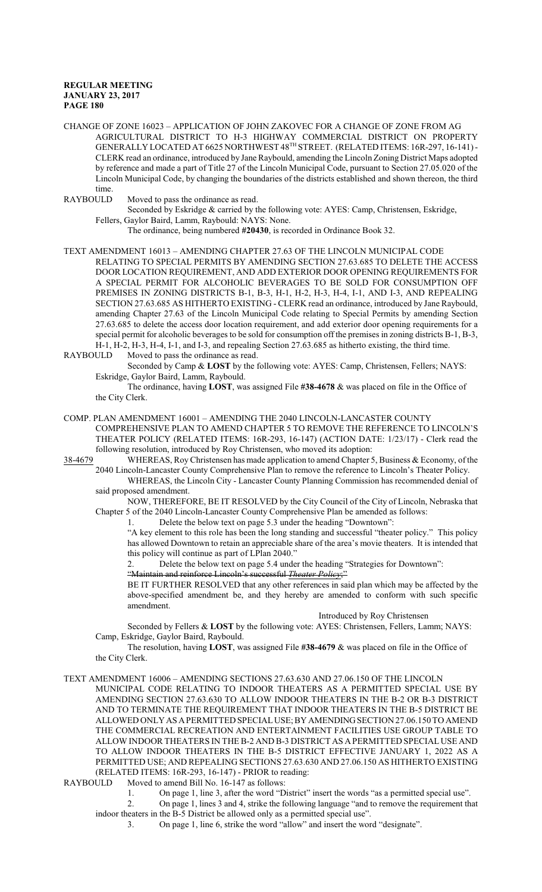CHANGE OF ZONE 16023 – APPLICATION OF JOHN ZAKOVEC FOR A CHANGE OF ZONE FROM AG AGRICULTURAL DISTRICT TO H-3 HIGHWAY COMMERCIAL DISTRICT ON PROPERTY GENERALLY LOCATED AT 6625 NORTHWEST 48 TH STREET. (RELATED ITEMS: 16R-297, 16-141) - CLERK read an ordinance, introduced by Jane Raybould, amending the Lincoln Zoning District Maps adopted by reference and made a part of Title 27 of the Lincoln Municipal Code, pursuant to Section 27.05.020 of the Lincoln Municipal Code, by changing the boundaries of the districts established and shown thereon, the third time.<br>RAYBOULD

Moved to pass the ordinance as read.

Seconded by Eskridge & carried by the following vote: AYES: Camp, Christensen, Eskridge, Fellers, Gaylor Baird, Lamm, Raybould: NAYS: None.

The ordinance, being numbered **#20430**, is recorded in Ordinance Book 32.

TEXT AMENDMENT 16013 – AMENDING CHAPTER 27.63 OF THE LINCOLN MUNICIPAL CODE RELATING TO SPECIAL PERMITS BY AMENDING SECTION 27.63.685 TO DELETE THE ACCESS DOOR LOCATION REQUIREMENT, AND ADD EXTERIOR DOOR OPENING REQUIREMENTS FOR A SPECIAL PERMIT FOR ALCOHOLIC BEVERAGES TO BE SOLD FOR CONSUMPTION OFF PREMISES IN ZONING DISTRICTS B-1, B-3, H-1, H-2, H-3, H-4, I-1, AND I-3, AND REPEALING SECTION 27.63.685 AS HITHERTO EXISTING - CLERK read an ordinance, introduced by Jane Raybould, amending Chapter 27.63 of the Lincoln Municipal Code relating to Special Permits by amending Section 27.63.685 to delete the access door location requirement, and add exterior door opening requirements for a special permit for alcoholic beverages to be sold for consumption off the premises in zoning districts B-1, B-3,  $H-1$ ,  $H-2$ ,  $H-3$ ,  $H-4$ ,  $I-1$ , and  $I-3$ , and repealing Section 27.63.685 as hitherto existing, the third time.

RAYBOULD Moved to pass the ordinance as read.

Seconded by Camp & **LOST** by the following vote: AYES: Camp, Christensen, Fellers; NAYS: Eskridge, Gaylor Baird, Lamm, Raybould.

The ordinance, having **LOST**, was assigned File **#38-4678** & was placed on file in the Office of the City Clerk.

# COMP. PLAN AMENDMENT 16001 – AMENDING THE 2040 LINCOLN-LANCASTER COUNTY COMPREHENSIVE PLAN TO AMEND CHAPTER 5 TO REMOVE THE REFERENCE TO LINCOLN'S THEATER POLICY (RELATED ITEMS: 16R-293, 16-147) (ACTION DATE: 1/23/17) - Clerk read the following resolution, introduced by Roy Christensen, who moved its adoption:

38-4679 WHEREAS, Roy Christensen has made application to amend Chapter 5, Business & Economy, of the 2040 Lincoln-Lancaster County Comprehensive Plan to remove the reference to Lincoln's Theater Policy.

WHEREAS, the Lincoln City - Lancaster County Planning Commission has recommended denial of said proposed amendment.

NOW, THEREFORE, BE IT RESOLVED by the City Council of the City of Lincoln, Nebraska that Chapter 5 of the 2040 Lincoln-Lancaster County Comprehensive Plan be amended as follows:

1. Delete the below text on page 5.3 under the heading "Downtown":

"A key element to this role has been the long standing and successful "theater policy." This policy has allowed Downtown to retain an appreciable share of the area's movie theaters. It is intended that this policy will continue as part of LPlan 2040."

2. Delete the below text on page 5.4 under the heading "Strategies for Downtown":

"Maintain and reinforce Lincoln's successful *Theater Policy*;"

BE IT FURTHER RESOLVED that any other references in said plan which may be affected by the above-specified amendment be, and they hereby are amended to conform with such specific amendment.

#### Introduced by Roy Christensen

Seconded by Fellers & **LOST** by the following vote: AYES: Christensen, Fellers, Lamm; NAYS: Camp, Eskridge, Gaylor Baird, Raybould.

The resolution, having **LOST**, was assigned File **#38-4679** & was placed on file in the Office of the City Clerk.

TEXT AMENDMENT 16006 – AMENDING SECTIONS 27.63.630 AND 27.06.150 OF THE LINCOLN

MUNICIPAL CODE RELATING TO INDOOR THEATERS AS A PERMITTED SPECIAL USE BY AMENDING SECTION 27.63.630 TO ALLOW INDOOR THEATERS IN THE B-2 OR B-3 DISTRICT AND TO TERMINATE THE REQUIREMENT THAT INDOOR THEATERS IN THE B-5 DISTRICT BE ALLOWED ONLY AS APERMITTED SPECIALUSE; BY AMENDINGSECTION 27.06.150 TO AMEND THE COMMERCIAL RECREATION AND ENTERTAINMENT FACILITIES USE GROUP TABLE TO ALLOW INDOOR THEATERS IN THE B-2 AND B-3 DISTRICT AS APERMITTED SPECIAL USE AND TO ALLOW INDOOR THEATERS IN THE B-5 DISTRICT EFFECTIVE JANUARY 1, 2022 AS A PERMITTED USE; AND REPEALING SECTIONS 27.63.630 AND 27.06.150 AS HITHERTO EXISTING (RELATED ITEMS: 16R-293, 16-147) - PRIOR to reading:<br>RAYBOULD Moved to amend Bill No. 16-147 as follows:

Moved to amend Bill No. 16-147 as follows:

1. On page 1, line 3, after the word "District" insert the words "as a permitted special use".

2. On page 1, lines 3 and 4, strike the following language "and to remove the requirement that indoor theaters in the B-5 District be allowed only as a permitted special use".

3. On page 1, line 6, strike the word "allow" and insert the word "designate".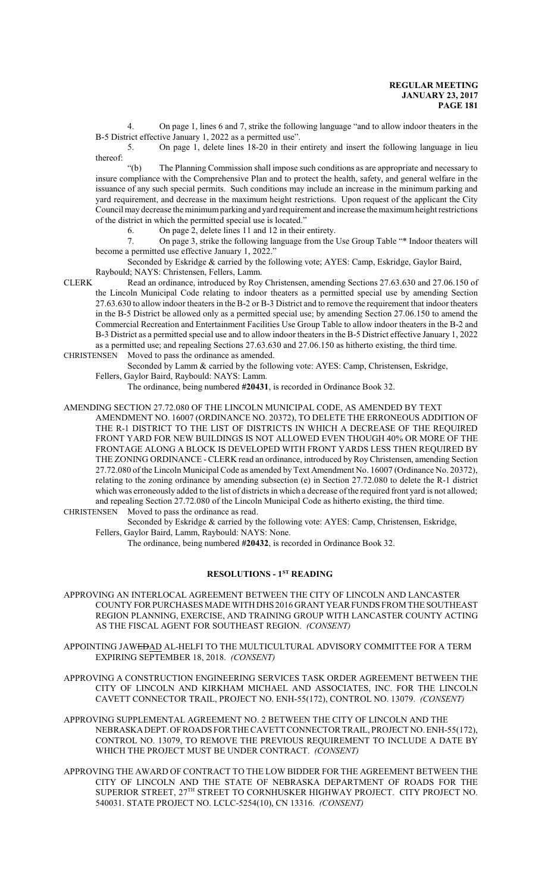4. On page 1, lines 6 and 7, strike the following language "and to allow indoor theaters in the B-5 District effective January 1, 2022 as a permitted use".

5. On page 1, delete lines 18-20 in their entirety and insert the following language in lieu thereof:

"(b) The Planning Commission shall impose such conditions as are appropriate and necessary to insure compliance with the Comprehensive Plan and to protect the health, safety, and general welfare in the issuance of any such special permits. Such conditions may include an increase in the minimum parking and yard requirement, and decrease in the maximum height restrictions. Upon request of the applicant the City Council may decrease the minimumparking and yard requirement and increase the maximumheight restrictions of the district in which the permitted special use is located."

6. On page 2, delete lines 11 and 12 in their entirety.

7. On page 3, strike the following language from the Use Group Table "\* Indoor theaters will become a permitted use effective January 1, 2022."

Seconded by Eskridge & carried by the following vote; AYES: Camp, Eskridge, Gaylor Baird, Raybould; NAYS: Christensen, Fellers, Lamm.

CLERK Read an ordinance, introduced by Roy Christensen, amending Sections 27.63.630 and 27.06.150 of the Lincoln Municipal Code relating to indoor theaters as a permitted special use by amending Section 27.63.630 to allow indoor theaters in the B-2 or B-3 District and to remove the requirement that indoor theaters in the B-5 District be allowed only as a permitted special use; by amending Section 27.06.150 to amend the Commercial Recreation and Entertainment Facilities Use Group Table to allow indoor theaters in the B-2 and B-3 District as a permitted special use and to allow indoor theaters in the B-5 District effective January 1, 2022 as a permitted use; and repealing Sections 27.63.630 and 27.06.150 as hitherto existing, the third time. CHRISTENSEN Moved to pass the ordinance as amended.

Seconded by Lamm & carried by the following vote: AYES: Camp, Christensen, Eskridge, Fellers, Gaylor Baird, Raybould: NAYS: Lamm.

The ordinance, being numbered **#20431**, is recorded in Ordinance Book 32.

AMENDING SECTION 27.72.080 OF THE LINCOLN MUNICIPAL CODE, AS AMENDED BY TEXT AMENDMENT NO. 16007 (ORDINANCE NO. 20372), TO DELETE THE ERRONEOUS ADDITION OF THE R-1 DISTRICT TO THE LIST OF DISTRICTS IN WHICH A DECREASE OF THE REQUIRED FRONT YARD FOR NEW BUILDINGS IS NOT ALLOWED EVEN THOUGH 40% OR MORE OF THE FRONTAGE ALONG A BLOCK IS DEVELOPED WITH FRONT YARDS LESS THEN REQUIRED BY THE ZONING ORDINANCE - CLERK read an ordinance, introduced byRoy Christensen, amending Section 27.72.080 ofthe Lincoln Municipal Code as amended by Text Amendment No. 16007 (Ordinance No. 20372), relating to the zoning ordinance by amending subsection (e) in Section 27.72.080 to delete the R-1 district which was erroneously added to the list of districts in which a decrease of the required front yard is not allowed; and repealing Section 27.72.080 of the Lincoln Municipal Code as hitherto existing, the third time.

CHRISTENSEN Moved to pass the ordinance as read.

Seconded by Eskridge & carried by the following vote: AYES: Camp, Christensen, Eskridge, Fellers, Gaylor Baird, Lamm, Raybould: NAYS: None.

The ordinance, being numbered **#20432**, is recorded in Ordinance Book 32.

# **RESOLUTIONS - 1ST READING**

- APPROVING AN INTERLOCAL AGREEMENT BETWEEN THE CITY OF LINCOLN AND LANCASTER COUNTY FOR PURCHASES MADE WITHDHS 2016 GRANT YEAR FUNDS FROM THE SOUTHEAST REGION PLANNING, EXERCISE, AND TRAINING GROUP WITH LANCASTER COUNTY ACTING AS THE FISCAL AGENT FOR SOUTHEAST REGION. *(CONSENT)*
- APPOINTING JAWEDAD AL-HELFI TO THE MULTICULTURAL ADVISORY COMMITTEE FOR A TERM EXPIRING SEPTEMBER 18, 2018. *(CONSENT)*

APPROVING A CONSTRUCTION ENGINEERING SERVICES TASK ORDER AGREEMENT BETWEEN THE CITY OF LINCOLN AND KIRKHAM MICHAEL AND ASSOCIATES, INC. FOR THE LINCOLN CAVETT CONNECTOR TRAIL, PROJECT NO. ENH-55(172), CONTROL NO. 13079. *(CONSENT)*

APPROVING SUPPLEMENTAL AGREEMENT NO. 2 BETWEEN THE CITY OF LINCOLN AND THE NEBRASKADEPT. OF ROADS FOR THE CAVETTCONNECTOR TRAIL, PROJECT NO. ENH-55(172), CONTROL NO. 13079, TO REMOVE THE PREVIOUS REQUIREMENT TO INCLUDE A DATE BY WHICH THE PROJECT MUST BE UNDER CONTRACT. *(CONSENT)*

APPROVING THE AWARD OF CONTRACT TO THE LOW BIDDER FOR THE AGREEMENT BETWEEN THE CITY OF LINCOLN AND THE STATE OF NEBRASKA DEPARTMENT OF ROADS FOR THE SUPERIOR STREET, 27<sup>TH</sup> STREET TO CORNHUSKER HIGHWAY PROJECT. CITY PROJECT NO. 540031. STATE PROJECT NO. LCLC-5254(10), CN 13316. *(CONSENT)*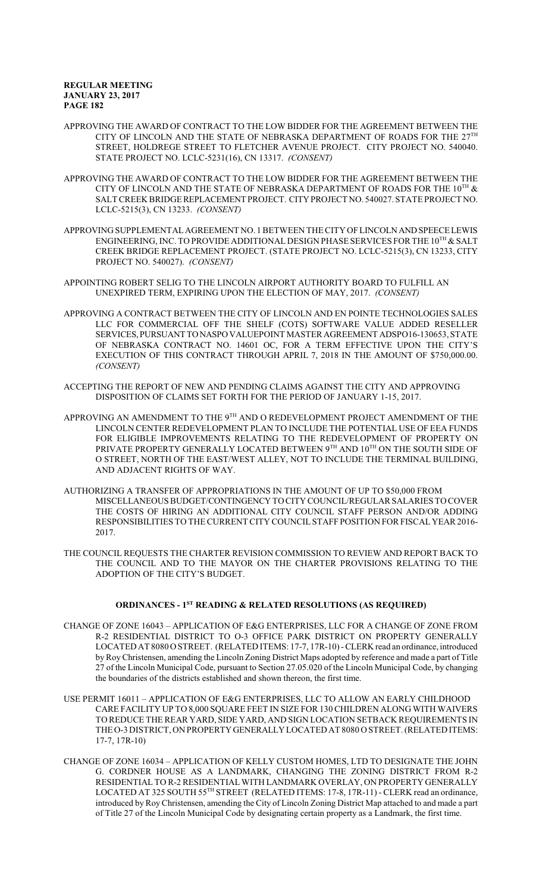APPROVING THE AWARD OF CONTRACT TO THE LOW BIDDER FOR THE AGREEMENT BETWEEN THE CITY OF LINCOLN AND THE STATE OF NEBRASKA DEPARTMENT OF ROADS FOR THE  $27^{\text{TH}}$ STREET, HOLDREGE STREET TO FLETCHER AVENUE PROJECT. CITY PROJECT NO. 540040. STATE PROJECT NO. LCLC-5231(16), CN 13317. *(CONSENT)*

- APPROVING THE AWARD OF CONTRACT TO THE LOW BIDDER FOR THE AGREEMENT BETWEEN THE CITY OF LINCOLN AND THE STATE OF NEBRASKA DEPARTMENT OF ROADS FOR THE  $10^{\text{\tiny{TH}}}$  & SALTCREEK BRIDGE REPLACEMENT PROJECT. CITYPROJECT NO. 540027. STATE PROJECT NO. LCLC-5215(3), CN 13233. *(CONSENT)*
- APPROVING SUPPLEMENTALAGREEMENT NO. 1BETWEEN THE CITY OF LINCOLNANDSPEECELEWIS ENGINEERING, INC. TO PROVIDE ADDITIONAL DESIGN PHASE SERVICES FOR THE 10<sup>TH</sup> & SALT CREEK BRIDGE REPLACEMENT PROJECT. (STATE PROJECT NO. LCLC-5215(3), CN 13233, CITY PROJECT NO. 540027). *(CONSENT)*
- APPOINTING ROBERT SELIG TO THE LINCOLN AIRPORT AUTHORITY BOARD TO FULFILL AN UNEXPIRED TERM, EXPIRING UPON THE ELECTION OF MAY, 2017. *(CONSENT)*
- APPROVING A CONTRACT BETWEEN THE CITY OF LINCOLN AND EN POINTE TECHNOLOGIES SALES LLC FOR COMMERCIAL OFF THE SHELF (COTS) SOFTWARE VALUE ADDED RESELLER SERVICES,PURSUANT TONASPOVALUEPOINT MASTER AGREEMENT ADSPO16-130653, STATE OF NEBRASKA CONTRACT NO. 14601 OC, FOR A TERM EFFECTIVE UPON THE CITY'S EXECUTION OF THIS CONTRACT THROUGH APRIL 7, 2018 IN THE AMOUNT OF \$750,000.00. *(CONSENT)*
- ACCEPTING THE REPORT OF NEW AND PENDING CLAIMS AGAINST THE CITY AND APPROVING DISPOSITION OF CLAIMS SET FORTH FOR THE PERIOD OF JANUARY 1-15, 2017.
- APPROVING AN AMENDMENT TO THE  $9^{\text{\tiny{TH}}}$  AND O REDEVELOPMENT PROJECT AMENDMENT OF THE LINCOLN CENTER REDEVELOPMENT PLAN TO INCLUDE THE POTENTIAL USE OF EEA FUNDS FOR ELIGIBLE IMPROVEMENTS RELATING TO THE REDEVELOPMENT OF PROPERTY ON PRIVATE PROPERTY GENERALLY LOCATED BETWEEN  $9^{\text{\tiny{TH}}}$  and  $10^{\text{\tiny{TH}}}$  ON THE SOUTH SIDE OF O STREET, NORTH OF THE EAST/WEST ALLEY, NOT TO INCLUDE THE TERMINAL BUILDING, AND ADJACENT RIGHTS OF WAY.
- AUTHORIZING A TRANSFER OF APPROPRIATIONS IN THE AMOUNT OF UP TO \$50,000 FROM MISCELLANEOUS BUDGET/CONTINGENCY TOCITY COUNCIL/REGULAR SALARIES TO COVER THE COSTS OF HIRING AN ADDITIONAL CITY COUNCIL STAFF PERSON AND/OR ADDING RESPONSIBILITIES TO THE CURRENT CITY COUNCIL STAFF POSITION FOR FISCAL YEAR 2016-2017.
- THE COUNCIL REQUESTS THE CHARTER REVISION COMMISSION TO REVIEW AND REPORT BACK TO THE COUNCIL AND TO THE MAYOR ON THE CHARTER PROVISIONS RELATING TO THE ADOPTION OF THE CITY'S BUDGET.

# **ORDINANCES - 1ST READING & RELATED RESOLUTIONS (AS REQUIRED)**

- CHANGE OF ZONE 16043 APPLICATION OF E&G ENTERPRISES, LLC FOR A CHANGE OF ZONE FROM R-2 RESIDENTIAL DISTRICT TO O-3 OFFICE PARK DISTRICT ON PROPERTY GENERALLY LOCATED AT 8080 O STREET. (RELATED ITEMS: 17-7, 17R-10) -CLERK read an ordinance, introduced by Roy Christensen, amending the Lincoln Zoning District Maps adopted by reference and made a part of Title 27 of the Lincoln Municipal Code, pursuant to Section 27.05.020 of the Lincoln Municipal Code, by changing the boundaries of the districts established and shown thereon, the first time.
- USE PERMIT 16011 APPLICATION OF E&G ENTERPRISES, LLC TO ALLOW AN EARLY CHILDHOOD CARE FACILITY UP TO 8,000 SQUARE FEET IN SIZE FOR 130 CHILDREN ALONG WITH WAIVERS TO REDUCE THE REAR YARD, SIDE YARD, AND SIGN LOCATION SETBACK REQUIREMENTS IN THE O-3 DISTRICT, ON PROPERTYGENERALLY LOCATED AT 8080 O STREET. (RELATED ITEMS: 17-7, 17R-10)
- CHANGE OF ZONE 16034 APPLICATION OF KELLY CUSTOM HOMES, LTD TO DESIGNATE THE JOHN G. CORDNER HOUSE AS A LANDMARK, CHANGING THE ZONING DISTRICT FROM R-2 RESIDENTIAL TO R-2 RESIDENTIAL WITH LANDMARK OVERLAY, ON PROPERTY GENERALLY LOCATED AT 325 SOUTH 55 TH STREET (RELATED ITEMS: 17-8, 17R-11) - CLERK read an ordinance, introduced by Roy Christensen, amending the City of Lincoln Zoning District Map attached to and made a part of Title 27 of the Lincoln Municipal Code by designating certain property as a Landmark, the first time.